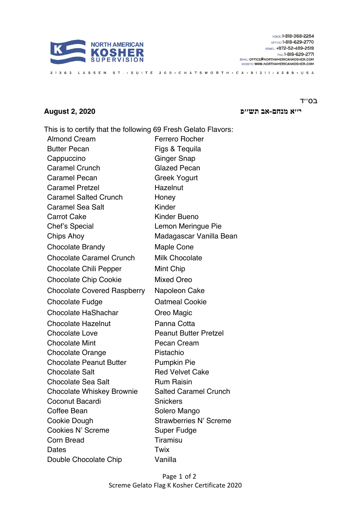

## סב '' ד

**םחנמ א׳׳י - פ׳׳שת בא 2020 2, August**

This is to certify that the following 69 Fresh Gelato Flavors: Almond Cream Ferrero Rocher Butter Pecan Figs & Tequila Cappuccino Ginger Snap Caramel Crunch Glazed Pecan Caramel Pecan Greek Yogurt Caramel Pretzel **Hazelnut** Caramel Salted Crunch Honey Caramel Sea Salt Kinder Carrot Cake Kinder Bueno Chef's Special Lemon Meringue Pie Chips Ahoy Madagascar Vanilla Bean Chocolate Brandy Maple Cone Chocolate Caramel Crunch Milk Chocolate Chocolate Chili Pepper Mint Chip Chocolate Chip Cookie Mixed Oreo Chocolate Covered Raspberry Napoleon Cake Chocolate Fudge **Chocolate Cookie** Chocolate Fudge Chocolate HaShachar **Oreo Magic** Chocolate Hazelnut Panna Cotta Chocolate Love **Peanut Butter Pretzel** Chocolate Mint Pecan Cream Chocolate Orange Pistachio Chocolate Peanut Butter Pumpkin Pie Chocolate Salt Red Velvet Cake Chocolate Sea Salt **Rum Raisin** Chocolate Whiskey Brownie Salted Caramel Crunch Coconut Bacardi Snickers Coffee Bean Solero Mango Cookie Dough Strawberries N' Screme Cookies N' Screme Super Fudge Corn Bread Tiramisu Dates Twix Double Chocolate Chip Vanilla

21363 LASSEN ST. • SUITE 200 • CHATSWORTH • CA • 91311 - 4289 • USA